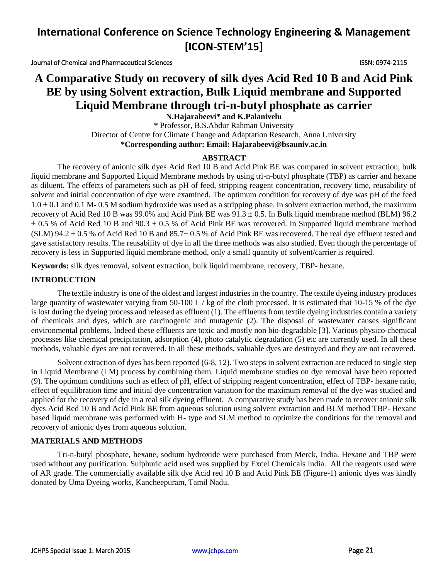Journal of Chemical and Pharmaceutical Sciences ISSN: 0974-2115

# **A Comparative Study on recovery of silk dyes Acid Red 10 B and Acid Pink BE by using Solvent extraction, Bulk Liquid membrane and Supported Liquid Membrane through tri-n-butyl phosphate as carrier**

**N.Hajarabeevi\* and K.Palanivelu \*** Professor, B.S.Abdur Rahman University Director of Centre for Climate Change and Adaptation Research, Anna University **\*Corresponding author: Email: Hajarabeevi@bsauniv.ac.in**

## **ABSTRACT**

The recovery of anionic silk dyes Acid Red 10 B and Acid Pink BE was compared in solvent extraction, bulk liquid membrane and Supported Liquid Membrane methods by using tri-n-butyl phosphate (TBP) as carrier and hexane as diluent. The effects of parameters such as pH of feed, stripping reagent concentration, recovery time, reusability of solvent and initial concentration of dye were examined. The optimum condition for recovery of dye was pH of the feed  $1.0 \pm 0.1$  and  $0.1$  M- 0.5 M sodium hydroxide was used as a stripping phase. In solvent extraction method, the maximum recovery of Acid Red 10 B was 99.0% and Acid Pink BE was  $91.3 \pm 0.5$ . In Bulk liquid membrane method (BLM) 96.2  $\pm$  0.5 % of Acid Red 10 B and 90.3  $\pm$  0.5 % of Acid Pink BE was recovered. In Supported liquid membrane method (SLM) 94.2  $\pm$  0.5 % of Acid Red 10 B and 85.7 $\pm$  0.5 % of Acid Pink BE was recovered. The real dye effluent tested and gave satisfactory results. The reusability of dye in all the three methods was also studied. Even though the percentage of recovery is less in Supported liquid membrane method, only a small quantity of solvent/carrier is required.

**Keywords:** silk dyes removal, solvent extraction, bulk liquid membrane, recovery, TBP- hexane.

## **INTRODUCTION**

The textile industry is one of the oldest and largest industries in the country. The textile dyeing industry produces large quantity of wastewater varying from 50-100 L / kg of the cloth processed. It is estimated that 10-15 % of the dye is lost during the dyeing process and released as effluent (1). The effluents from textile dyeing industries contain a variety of chemicals and dyes, which are carcinogenic and mutagenic (2). The disposal of wastewater causes significant environmental problems. Indeed these effluents are toxic and mostly non bio-degradable [3]. Various physico-chemical processes like chemical precipitation, adsorption (4), photo catalytic degradation (5) etc are currently used. In all these methods, valuable dyes are not recovered. In all these methods, valuable dyes are destroyed and they are not recovered.

Solvent extraction of dyes has been reported (6-8, 12). Two steps in solvent extraction are reduced to single step in Liquid Membrane (LM) process by combining them. Liquid membrane studies on dye removal have been reported (9). The optimum conditions such as effect of pH, effect of stripping reagent concentration, effect of TBP- hexane ratio, effect of equilibration time and initial dye concentration variation for the maximum removal of the dye was studied and applied for the recovery of dye in a real silk dyeing effluent. A comparative study has been made to recover anionic silk dyes Acid Red 10 B and Acid Pink BE from aqueous solution using solvent extraction and BLM method TBP- Hexane based liquid membrane was performed with H- type and SLM method to optimize the conditions for the removal and recovery of anionic dyes from aqueous solution.

## **MATERIALS AND METHODS**

Tri-n-butyl phosphate, hexane, sodium hydroxide were purchased from Merck, India. Hexane and TBP were used without any purification. Sulphuric acid used was supplied by Excel Chemicals India. All the reagents used were of AR grade. The commercially available silk dye Acid red 10 B and Acid Pink BE (Figure-1) anionic dyes was kindly donated by Uma Dyeing works, Kancheepuram, Tamil Nadu.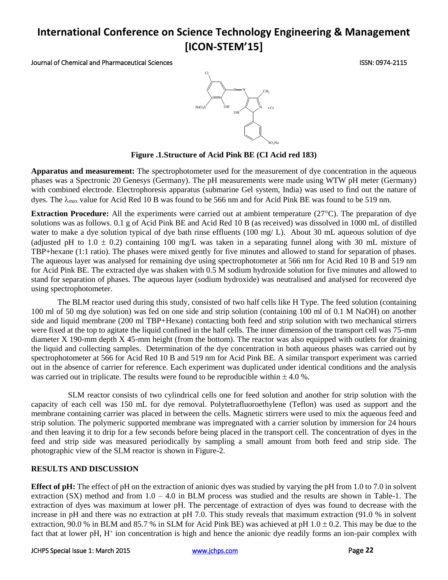Journal of Chemical and Pharmaceutical Sciences ISSN: 0974-2115



## **Figure .1.Structure of Acid Pink BE (CI Acid red 183)**

**Apparatus and measurement:** The spectrophotometer used for the measurement of dye concentration in the aqueous phases was a Spectronic 20 Genesys (Germany). The pH measurements were made using WTW pH meter (Germany) with combined electrode. Electrophoresis apparatus (submarine Gel system, India) was used to find out the nature of dyes. The  $\lambda_{\text{max}}$  value for Acid Red 10 B was found to be 566 nm and for Acid Pink BE was found to be 519 nm.

**Extraction Procedure:** All the experiments were carried out at ambient temperature (27°C). The preparation of dye solutions was as follows. 0.1 g of Acid Pink BE and Acid Red 10 B (as received) was dissolved in 1000 mL of distilled water to make a dye solution typical of dye bath rinse effluents (100 mg/ L). About 30 mL aqueous solution of dye (adjusted pH to  $1.0 \pm 0.2$ ) containing 100 mg/L was taken in a separating funnel along with 30 mL mixture of TBP+hexane (1:1 ratio). The phases were mixed gently for five minutes and allowed to stand for separation of phases. The aqueous layer was analysed for remaining dye using spectrophotometer at 566 nm for Acid Red 10 B and 519 nm for Acid Pink BE. The extracted dye was shaken with 0.5 M sodium hydroxide solution for five minutes and allowed to stand for separation of phases. The aqueous layer (sodium hydroxide) was neutralised and analysed for recovered dye using spectrophotometer.

The BLM reactor used during this study, consisted of two half cells like H Type. The feed solution (containing 100 ml of 50 mg dye solution) was fed on one side and strip solution (containing 100 ml of 0.1 M NaOH) on another side and liquid membrane (200 ml TBP+Hexane) contacting both feed and strip solution with two mechanical stirrers were fixed at the top to agitate the liquid confined in the half cells. The inner dimension of the transport cell was 75-mm diameter X 190-mm depth X 45-mm height (from the bottom). The reactor was also equipped with outlets for draining the liquid and collecting samples. Determination of the dye concentration in both aqueous phases was carried out by spectrophotometer at 566 for Acid Red 10 B and 519 nm for Acid Pink BE. A similar transport experiment was carried out in the absence of carrier for reference. Each experiment was duplicated under identical conditions and the analysis was carried out in triplicate. The results were found to be reproducible within  $\pm 4.0$ %.

SLM reactor consists of two cylindrical cells one for feed solution and another for strip solution with the capacity of each cell was 150 mL for dye removal. Polytetrafluoroethylene (Teflon) was used as support and the membrane containing carrier was placed in between the cells. Magnetic stirrers were used to mix the aqueous feed and strip solution. The polymeric supported membrane was impregnated with a carrier solution by immersion for 24 hours and then leaving it to drip for a few seconds before being placed in the transport cell. The concentration of dyes in the feed and strip side was measured periodically by sampling a small amount from both feed and strip side. The photographic view of the SLM reactor is shown in Figure-2.

### **RESULTS AND DISCUSSION**

**Effect of pH:** The effect of pH on the extraction of anionic dyes was studied by varying the pH from 1.0 to 7.0 in solvent extraction  $(SX)$  method and from  $1.0 - 4.0$  in BLM process was studied and the results are shown in Table-1. The extraction of dyes was maximum at lower pH. The percentage of extraction of dyes was found to decrease with the increase in pH and there was no extraction at pH 7.0. This study reveals that maximum extraction (91.0 % in solvent extraction, 90.0 % in BLM and 85.7 % in SLM for Acid Pink BE) was achieved at pH  $1.0 \pm 0.2$ . This may be due to the fact that at lower pH, H<sup>+</sup> ion concentration is high and hence the anionic dye readily forms an ion-pair complex with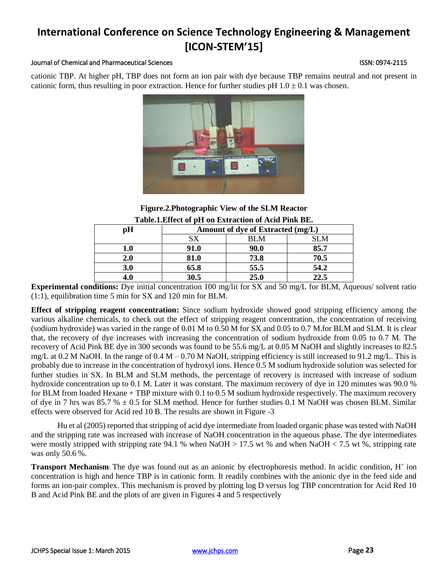### Journal of Chemical and Pharmaceutical Sciences ISSN: 0974-2115

cationic TBP. At higher pH, TBP does not form an ion pair with dye because TBP remains neutral and not present in cationic form, thus resulting in poor extraction. Hence for further studies pH  $1.0 \pm 0.1$  was chosen.



## **Figure.2.Photographic View of the SLM Reactor Table.1.Effect of pH on Extraction of Acid Pink BE.**

| pН  | Amount of dye of Extracted (mg/L) |      |            |
|-----|-----------------------------------|------|------------|
|     | SX                                | BLM  | <b>SLM</b> |
| L.O | 91.0                              | 90.0 | 85.7       |
| 2.0 | 81.0                              | 73.8 | 70.5       |
| 3.0 | 65.8                              | 55.5 | 54.2       |
|     | 30.5                              | 25.0 | 22.5       |

**Experimental conditions:** Dye initial concentration 100 mg/lit for SX and 50 mg/L for BLM, Aqueous/ solvent ratio (1:1), equilibration time 5 min for SX and 120 min for BLM.

**Effect of stripping reagent concentration:** Since sodium hydroxide showed good stripping efficiency among the various alkaline chemicals, to check out the effect of stripping reagent concentration, the concentration of receiving (sodium hydroxide) was varied in the range of 0.01 M to 0.50 M for SX and 0.05 to 0.7 M.for BLM and SLM. It is clear that, the recovery of dye increases with increasing the concentration of sodium hydroxide from 0.05 to 0.7 M. The recovery of Acid Pink BE dye in 300 seconds was found to be 55.6 mg/L at 0.05 M NaOH and slightly increases to 82.5 mg/L at 0.2 M NaOH. In the range of  $0.4 M - 0.70 M$  NaOH, stripping efficiency is still increased to 91.2 mg/L. This is probably due to increase in the concentration of hydroxyl ions. Hence 0.5 M sodium hydroxide solution was selected for further studies in SX. In BLM and SLM methods, the percentage of recovery is increased with increase of sodium hydroxide concentration up to 0.1 M. Later it was constant. The maximum recovery of dye in 120 minutes was 90.0 % for BLM from loaded Hexane + TBP mixture with 0.1 to 0.5 M sodium hydroxide respectively. The maximum recovery of dye in 7 hrs was 85.7 %  $\pm$  0.5 for SLM method. Hence for further studies 0.1 M NaOH was chosen BLM. Similar effects were observed for Acid red 10 B. The results are shown in Figure -3

Hu et al (2005) reported that stripping of acid dye intermediate from loaded organic phase was tested with NaOH and the stripping rate was increased with increase of NaOH concentration in the aqueous phase. The dye intermediates were mostly stripped with stripping rate 94.1 % when NaOH  $> 17.5$  wt % and when NaOH  $< 7.5$  wt %, stripping rate was only 50.6 %.

Transport Mechanism: The dye was found out as an anionic by electrophoresis method. In acidic condition, H<sup>+</sup> ion concentration is high and hence TBP is in cationic form. It readily combines with the anionic dye in the feed side and forms an ion-pair complex. This mechanism is proved by plotting log D versus log TBP concentration for Acid Red 10 B and Acid Pink BE and the plots of are given in Figures 4 and 5 respectively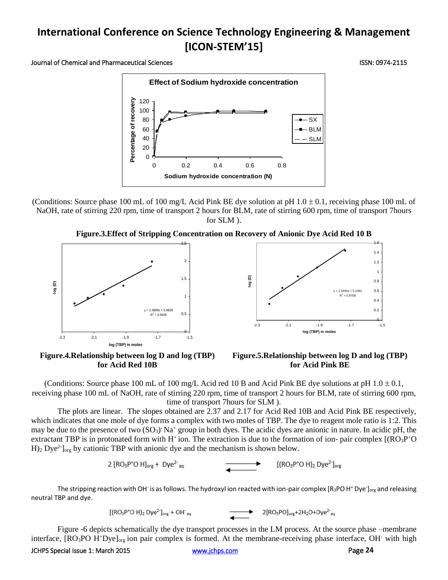Journal of Chemical and Pharmaceutical Sciences ISSN: 0974-2115



(Conditions: Source phase 100 mL of 100 mg/L Acid Pink BE dye solution at pH  $1.0 \pm 0.1$ , receiving phase 100 mL of NaOH, rate of stirring 220 rpm, time of transport 2 hours for BLM, rate of stirring 600 rpm, time of transport 7hours for SLM ).





**Figure.4.Relationship between log D and log (TBP) for Acid Red 10B** 



(Conditions: Source phase 100 mL of 100 mg/L Acid red 10 B and Acid Pink BE dye solutions at pH  $1.0 \pm 0.1$ , receiving phase 100 mL of NaOH, rate of stirring 220 rpm, time of transport 2 hours for BLM, rate of stirring 600 rpm, time of transport 7hours for SLM ).

The plots are linear. The slopes obtained are 2.37 and 2.17 for Acid Red 10B and Acid Pink BE respectively, which indicates that one mole of dye forms a complex with two moles of TBP. The dye to reagent mole ratio is 1:2. This may be due to the presence of two  $(SO_3)$  Na<sup>+</sup> group in both dyes. The acidic dyes are anionic in nature. In acidic pH, the extractant TBP is in protonated form with  $H^+$ ion. The extraction is due to the formation of ion- pair complex  $[(RO_3P^+O_4)]$  $H$ )<sub>2</sub> Dye<sup>2-</sup> l<sub>org</sub> by cationic TBP with anionic dye and the mechanism is shown below.

> 2  $[RO<sub>3</sub>P<sup>+</sup>O H]<sub>ore</sub> + Dve<sup>2-</sup><sub>ao</sub>$  $[(RO<sub>3</sub>P<sup>+</sup>O H)<sub>2</sub> Dye<sup>2</sup>]<sub>ore</sub>$

The stripping reaction with OH<sup>-</sup> is as follows. The hydroxyl ion reacted with ion-pair complex [R<sub>3</sub>PO H<sup>+</sup> Dye<sup>-</sup>]<sub>org</sub> and releasing neutral TBP and dye.

> $[(RO<sub>3</sub>P<sup>+</sup>O H)<sub>2</sub> Dye<sup>2</sup>]<sub>org</sub> + OH<sup>-</sup>$  $2[RO_3PO]_{org} + 2H_2O + Dye^{2}$ ag

Figure -6 depicts schematically the dye transport processes in the LM process. At the source phase –membrane interface,  $[RO<sub>3</sub>PO H<sup>+</sup>Dye]<sub>org</sub>$  ion pair complex is formed. At the membrane-receiving phase interface, OH<sup>-</sup> with high

JCHPS Special Issue 1: March 2015 [www.jchps.com](http://www.jchps.com/) Page **24**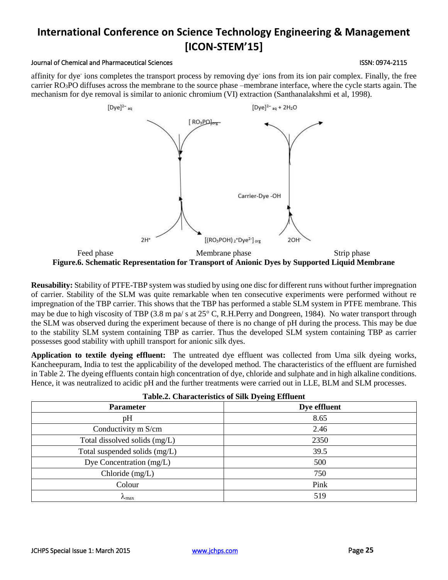$[Dye]^{2-}$ ag

 $2H^+$ 

**Reusability:** Stability of PTFE-TBP system was studied by using one disc for different runs without further impregnation of carrier. Stability of the SLM was quite remarkable when ten consecutive experiments were performed without re impregnation of the TBP carrier. This shows that the TBP has performed a stable SLM system in PTFE membrane. This may be due to high viscosity of TBP (3.8 m pa/ s at 25° C, R.H.Perry and Dongreen, 1984). No water transport through the SLM was observed during the experiment because of there is no change of pH during the process. This may be due to the stability SLM system containing TBP as carrier. Thus the developed SLM system containing TBP as carrier possesses good stability with uphill transport for anionic silk dyes.

**Application to textile dyeing effluent:** The untreated dye effluent was collected from Uma silk dyeing works, Kancheepuram, India to test the applicability of the developed method. The characteristics of the effluent are furnished in Table 2. The dyeing effluents contain high concentration of dye, chloride and sulphate and in high alkaline conditions. Hence, it was neutralized to acidic pH and the further treatments were carried out in LLE, BLM and SLM processes.

| Table.2. Characteristics of Sirk Dyenig Emiliem |              |  |  |  |
|-------------------------------------------------|--------------|--|--|--|
| <b>Parameter</b>                                | Dye effluent |  |  |  |
| pH                                              | 8.65         |  |  |  |
| Conductivity m S/cm                             | 2.46         |  |  |  |
| Total dissolved solids (mg/L)                   | 2350         |  |  |  |
| Total suspended solids (mg/L)                   | 39.5         |  |  |  |
| Dye Concentration (mg/L)                        | 500          |  |  |  |
| Chloride $(mg/L)$                               | 750          |  |  |  |
| Colour                                          | Pink         |  |  |  |
| $\lambda_{\text{max}}$                          | 519          |  |  |  |

| Table.2. Characteristics of Silk Dyeing Effluent |  |
|--------------------------------------------------|--|
|--------------------------------------------------|--|

# Feed phase Membrane phase Strip phase Strip phase Strip phase **Figure.6. Schematic Representation for Transport of Anionic Dyes by Supported Liquid Membrane**

[(RO<sub>3</sub>POH)<sub>2</sub>+Dye<sup>2-</sup>] org

affinity for dye-ions completes the transport process by removing dye-ions from its ion pair complex. Finally, the free carrier RO3PO diffuses across the membrane to the source phase –membrane interface, where the cycle starts again. The mechanism for dye removal is similar to anionic chromium (VI) extraction (Santhanalakshmi et al, 1998).

 $[Dye]^{2-} aq + 2H_2O$ 

Carrier-Dye -OH

2OH<sup>-</sup>

# **International Conference on Science Technology Engineering & Management [ICON-STEM'15]**

Journal of Chemical and Pharmaceutical Sciences ISSN: 0974-2115

 $[RO<sub>3</sub>PO<sub>long</sub>]$